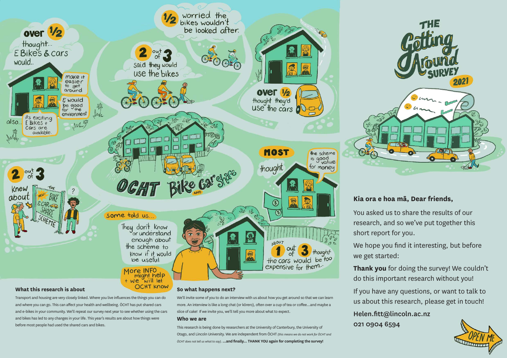## **Kia ora e hoa mā, Dear friends,**

You asked us to share the results of our research, and so we've put together this short report for you.

We hope you find it interesting, but before



**Thank you** for doing the survey! We couldn't do this important research without you!

If you have any questions, or want to talk to us about this research, please get in touch!

Helen.fitt@lincoln.ac.nz 021 0904 6594



## **What this research is about**

Transport and housing are very closely linked. Where you live influences the things you can do and where you can go. This can affect your health and wellbeing. ŌCHT has put shared cars and e-bikes in your community. We'll repeat our survey next year to see whether using the cars and bikes has led to any changes in your life. This year's results are about how things were before most people had used the shared cars and bikes.

## **So what happens next?**

We'll invite some of you to do an interview with us about how you get around so that we can learn more. An interview is like a long chat (or kōrero), often over a cup of tea or coffee...and maybe a slice of cake! If we invite you, we'll tell you more about what to expect.

## **Who we are**

This research is being done by researchers at the University of Canterbury, the University of Otago, and Lincoln University. We are independent from ŌCHT *(this means we do not work for ŌCHT and ŌCHT does not tell us what to say).* **...and finally... THANK YOU again for completing the survey!**